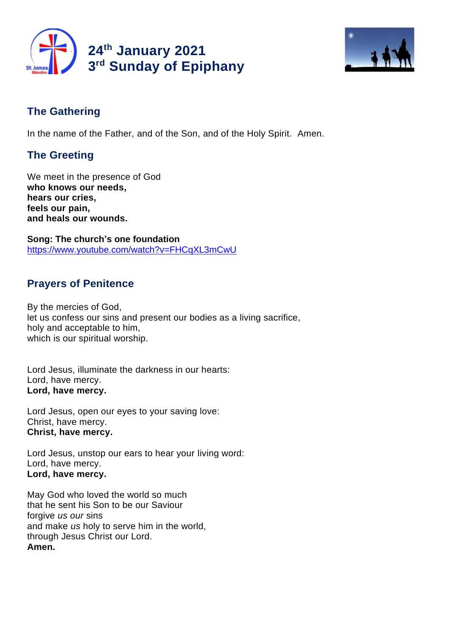



# **The Gathering**

In the name of the Father, and of the Son, and of the Holy Spirit. Amen.

# **The Greeting**

We meet in the presence of God **who knows our needs, hears our cries, feels our pain, and heals our wounds.**

**Song: The church's one foundation** https://www.youtube.com/watch?v=FHCqXL3mCwU

## **Prayers of Penitence**

By the mercies of God, let us confess our sins and present our bodies as a living sacrifice, holy and acceptable to him, which is our spiritual worship.

Lord Jesus, illuminate the darkness in our hearts: Lord, have mercy. **Lord, have mercy.**

Lord Jesus, open our eyes to your saving love: Christ, have mercy. **Christ, have mercy.**

Lord Jesus, unstop our ears to hear your living word: Lord, have mercy. **Lord, have mercy.**

May God who loved the world so much that he sent his Son to be our Saviour forgive *us our* sins and make *us* holy to serve him in the world, through Jesus Christ our Lord. **Amen.**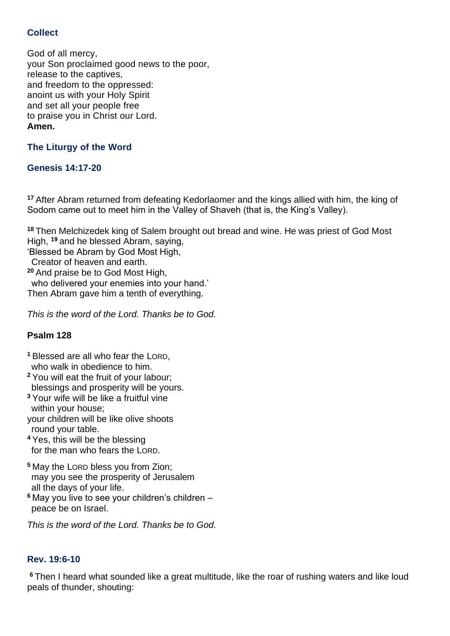## **Collect**

God of all mercy, your Son proclaimed good news to the poor, release to the captives, and freedom to the oppressed: anoint us with your Holy Spirit and set all your people free to praise you in Christ our Lord. **Amen.**

## **The Liturgy of the Word**

### **Genesis 14:17-20**

**<sup>17</sup>** After Abram returned from defeating Kedorlaomer and the kings allied with him, the king of Sodom came out to meet him in the Valley of Shaveh (that is, the King's Valley).

**<sup>18</sup>** Then Melchizedek king of Salem brought out bread and wine. He was priest of God Most High, **<sup>19</sup>** and he blessed Abram, saying,

'Blessed be Abram by God Most High,

Creator of heaven and earth.

**<sup>20</sup>** And praise be to God Most High,

who delivered your enemies into your hand.'

Then Abram gave him a tenth of everything.

*This is the word of the Lord. Thanks be to God.*

### **Psalm 128**

**<sup>1</sup>** Blessed are all who fear the LORD, who walk in obedience to him.

**<sup>2</sup>** You will eat the fruit of your labour; blessings and prosperity will be yours.

- **<sup>3</sup>** Your wife will be like a fruitful vine within your house;
- your children will be like olive shoots round your table.
- **<sup>4</sup>** Yes, this will be the blessing for the man who fears the LORD.
- **<sup>5</sup>** May the LORD bless you from Zion; may you see the prosperity of Jerusalem all the days of your life.
- **<sup>6</sup>** May you live to see your children's children peace be on Israel.

*This is the word of the Lord. Thanks be to God.*

### **Rev. 19:6-10**

**<sup>6</sup>** Then I heard what sounded like a great multitude, like the roar of rushing waters and like loud peals of thunder, shouting: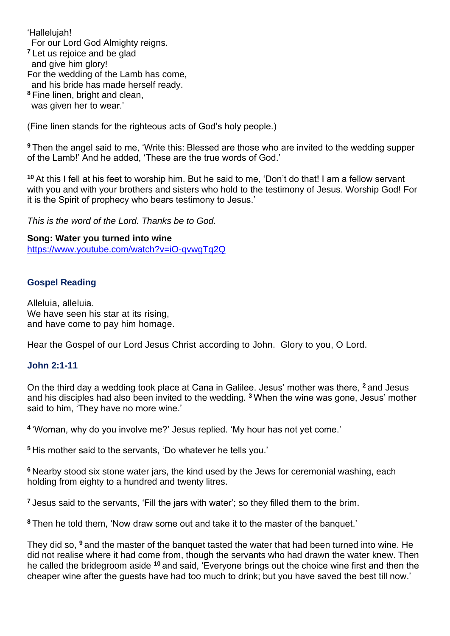'Hallelujah!

For our Lord God Almighty reigns.

**<sup>7</sup>** Let us rejoice and be glad

and give him glory!

For the wedding of the Lamb has come,

and his bride has made herself ready.

**<sup>8</sup>** Fine linen, bright and clean,

was given her to wear.'

(Fine linen stands for the righteous acts of God's holy people.)

**<sup>9</sup>** Then the angel said to me, 'Write this: Blessed are those who are invited to the wedding supper of the Lamb!' And he added, 'These are the true words of God.'

**<sup>10</sup>** At this I fell at his feet to worship him. But he said to me, 'Don't do that! I am a fellow servant with you and with your brothers and sisters who hold to the testimony of Jesus. Worship God! For it is the Spirit of prophecy who bears testimony to Jesus.'

*This is the word of the Lord. Thanks be to God.* 

**Song: Water you turned into wine** https://www.youtube.com/watch?v=iO-qvwgTq2Q

#### **Gospel Reading**

Alleluia, alleluia. We have seen his star at its rising. and have come to pay him homage.

Hear the Gospel of our Lord Jesus Christ according to John. Glory to you, O Lord.

### **John 2:1-11**

On the third day a wedding took place at Cana in Galilee. Jesus' mother was there, **<sup>2</sup>** and Jesus and his disciples had also been invited to the wedding. **<sup>3</sup>** When the wine was gone, Jesus' mother said to him, 'They have no more wine.'

**4** 'Woman, why do you involve me?' Jesus replied. 'My hour has not yet come.'

**<sup>5</sup>** His mother said to the servants, 'Do whatever he tells you.'

**<sup>6</sup>** Nearby stood six stone water jars, the kind used by the Jews for ceremonial washing, each holding from eighty to a hundred and twenty litres.

**<sup>7</sup>** Jesus said to the servants, 'Fill the jars with water'; so they filled them to the brim.

**<sup>8</sup>** Then he told them, 'Now draw some out and take it to the master of the banquet.'

They did so, **<sup>9</sup>** and the master of the banquet tasted the water that had been turned into wine. He did not realise where it had come from, though the servants who had drawn the water knew. Then he called the bridegroom aside **<sup>10</sup>** and said, 'Everyone brings out the choice wine first and then the cheaper wine after the guests have had too much to drink; but you have saved the best till now.'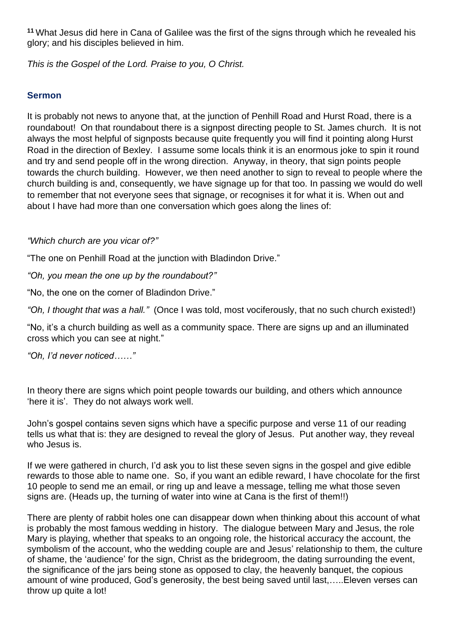**<sup>11</sup>** What Jesus did here in Cana of Galilee was the first of the signs through which he revealed his glory; and his disciples believed in him.

*This is the Gospel of the Lord. Praise to you, O Christ.*

## **Sermon**

It is probably not news to anyone that, at the junction of Penhill Road and Hurst Road, there is a roundabout! On that roundabout there is a signpost directing people to St. James church. It is not always the most helpful of signposts because quite frequently you will find it pointing along Hurst Road in the direction of Bexley. I assume some locals think it is an enormous joke to spin it round and try and send people off in the wrong direction. Anyway, in theory, that sign points people towards the church building. However, we then need another to sign to reveal to people where the church building is and, consequently, we have signage up for that too. In passing we would do well to remember that not everyone sees that signage, or recognises it for what it is. When out and about I have had more than one conversation which goes along the lines of:

*"Which church are you vicar of?"*

"The one on Penhill Road at the junction with Bladindon Drive."

*"Oh, you mean the one up by the roundabout?"* 

"No, the one on the corner of Bladindon Drive."

*"Oh, I thought that was a hall."* (Once I was told, most vociferously, that no such church existed!)

"No, it's a church building as well as a community space. There are signs up and an illuminated cross which you can see at night."

*"Oh, I'd never noticed……"*

In theory there are signs which point people towards our building, and others which announce 'here it is'. They do not always work well.

John's gospel contains seven signs which have a specific purpose and verse 11 of our reading tells us what that is: they are designed to reveal the glory of Jesus. Put another way, they reveal who Jesus is.

If we were gathered in church, I'd ask you to list these seven signs in the gospel and give edible rewards to those able to name one. So, if you want an edible reward, I have chocolate for the first 10 people to send me an email, or ring up and leave a message, telling me what those seven signs are. (Heads up, the turning of water into wine at Cana is the first of them!!)

There are plenty of rabbit holes one can disappear down when thinking about this account of what is probably the most famous wedding in history. The dialogue between Mary and Jesus, the role Mary is playing, whether that speaks to an ongoing role, the historical accuracy the account, the symbolism of the account, who the wedding couple are and Jesus' relationship to them, the culture of shame, the 'audience' for the sign, Christ as the bridegroom, the dating surrounding the event, the significance of the jars being stone as opposed to clay, the heavenly banquet, the copious amount of wine produced, God's generosity, the best being saved until last,…..Eleven verses can throw up quite a lot!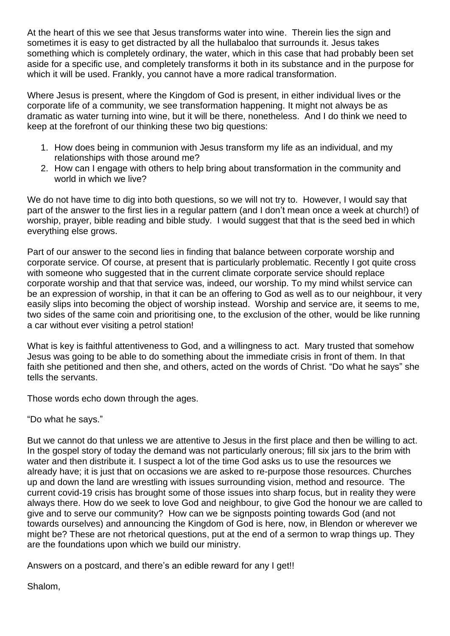At the heart of this we see that Jesus transforms water into wine. Therein lies the sign and sometimes it is easy to get distracted by all the hullabaloo that surrounds it. Jesus takes something which is completely ordinary, the water, which in this case that had probably been set aside for a specific use, and completely transforms it both in its substance and in the purpose for which it will be used. Frankly, you cannot have a more radical transformation.

Where Jesus is present, where the Kingdom of God is present, in either individual lives or the corporate life of a community, we see transformation happening. It might not always be as dramatic as water turning into wine, but it will be there, nonetheless. And I do think we need to keep at the forefront of our thinking these two big questions:

- 1. How does being in communion with Jesus transform my life as an individual, and my relationships with those around me?
- 2. How can I engage with others to help bring about transformation in the community and world in which we live?

We do not have time to dig into both questions, so we will not try to. However, I would say that part of the answer to the first lies in a regular pattern (and I don't mean once a week at church!) of worship, prayer, bible reading and bible study. I would suggest that that is the seed bed in which everything else grows.

Part of our answer to the second lies in finding that balance between corporate worship and corporate service. Of course, at present that is particularly problematic. Recently I got quite cross with someone who suggested that in the current climate corporate service should replace corporate worship and that that service was, indeed, our worship. To my mind whilst service can be an expression of worship, in that it can be an offering to God as well as to our neighbour, it very easily slips into becoming the object of worship instead. Worship and service are, it seems to me, two sides of the same coin and prioritising one, to the exclusion of the other, would be like running a car without ever visiting a petrol station!

What is key is faithful attentiveness to God, and a willingness to act. Mary trusted that somehow Jesus was going to be able to do something about the immediate crisis in front of them. In that faith she petitioned and then she, and others, acted on the words of Christ. "Do what he says" she tells the servants.

Those words echo down through the ages.

"Do what he says."

But we cannot do that unless we are attentive to Jesus in the first place and then be willing to act. In the gospel story of today the demand was not particularly onerous; fill six jars to the brim with water and then distribute it. I suspect a lot of the time God asks us to use the resources we already have; it is just that on occasions we are asked to re-purpose those resources. Churches up and down the land are wrestling with issues surrounding vision, method and resource. The current covid-19 crisis has brought some of those issues into sharp focus, but in reality they were always there. How do we seek to love God and neighbour, to give God the honour we are called to give and to serve our community? How can we be signposts pointing towards God (and not towards ourselves) and announcing the Kingdom of God is here, now, in Blendon or wherever we might be? These are not rhetorical questions, put at the end of a sermon to wrap things up. They are the foundations upon which we build our ministry.

Answers on a postcard, and there's an edible reward for any I get!!

Shalom,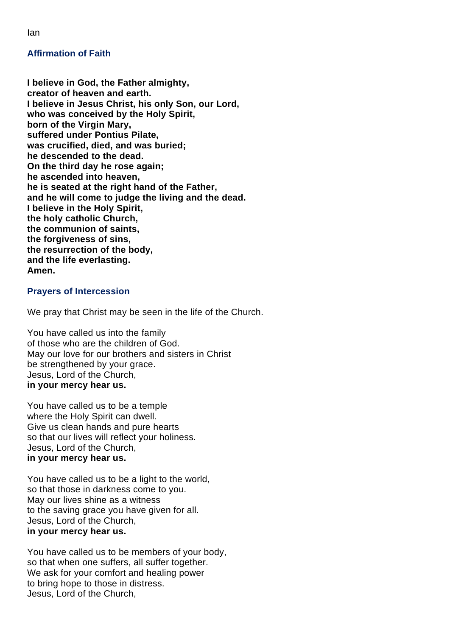**Affirmation of Faith**

**I believe in God, the Father almighty, creator of heaven and earth. I believe in Jesus Christ, his only Son, our Lord, who was conceived by the Holy Spirit, born of the Virgin Mary, suffered under Pontius Pilate, was crucified, died, and was buried; he descended to the dead. On the third day he rose again; he ascended into heaven, he is seated at the right hand of the Father, and he will come to judge the living and the dead. I believe in the Holy Spirit, the holy catholic Church, the communion of saints, the forgiveness of sins, the resurrection of the body, and the life everlasting. Amen.**

#### **Prayers of Intercession**

We pray that Christ may be seen in the life of the Church.

You have called us into the family of those who are the children of God. May our love for our brothers and sisters in Christ be strengthened by your grace. Jesus, Lord of the Church, **in your mercy hear us.**

You have called us to be a temple where the Holy Spirit can dwell. Give us clean hands and pure hearts so that our lives will reflect your holiness. Jesus, Lord of the Church, **in your mercy hear us.**

You have called us to be a light to the world, so that those in darkness come to you. May our lives shine as a witness to the saving grace you have given for all. Jesus, Lord of the Church, **in your mercy hear us.**

You have called us to be members of your body, so that when one suffers, all suffer together. We ask for your comfort and healing power to bring hope to those in distress. Jesus, Lord of the Church,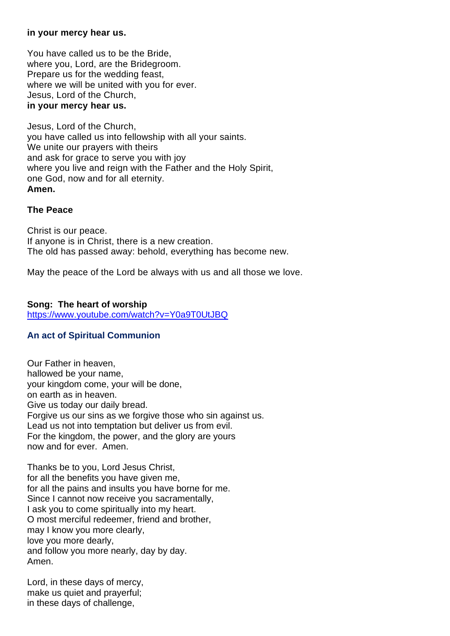#### **in your mercy hear us.**

You have called us to be the Bride, where you, Lord, are the Bridegroom. Prepare us for the wedding feast, where we will be united with you for ever. Jesus, Lord of the Church, **in your mercy hear us.**

Jesus, Lord of the Church, you have called us into fellowship with all your saints. We unite our prayers with theirs and ask for grace to serve you with joy where you live and reign with the Father and the Holy Spirit, one God, now and for all eternity. **Amen.**

#### **The Peace**

Christ is our peace. If anyone is in Christ, there is a new creation. The old has passed away: behold, everything has become new.

May the peace of the Lord be always with us and all those we love.

#### **Song: The heart of worship**

https://www.youtube.com/watch?v=Y0a9T0UtJBQ

#### **An act of Spiritual Communion**

Our Father in heaven, hallowed be your name, your kingdom come, your will be done, on earth as in heaven. Give us today our daily bread. Forgive us our sins as we forgive those who sin against us. Lead us not into temptation but deliver us from evil. For the kingdom, the power, and the glory are yours now and for ever. Amen.

Thanks be to you, Lord Jesus Christ, for all the benefits you have given me, for all the pains and insults you have borne for me. Since I cannot now receive you sacramentally, I ask you to come spiritually into my heart. O most merciful redeemer, friend and brother, may I know you more clearly, love you more dearly, and follow you more nearly, day by day. Amen.

Lord, in these days of mercy, make us quiet and prayerful; in these days of challenge,